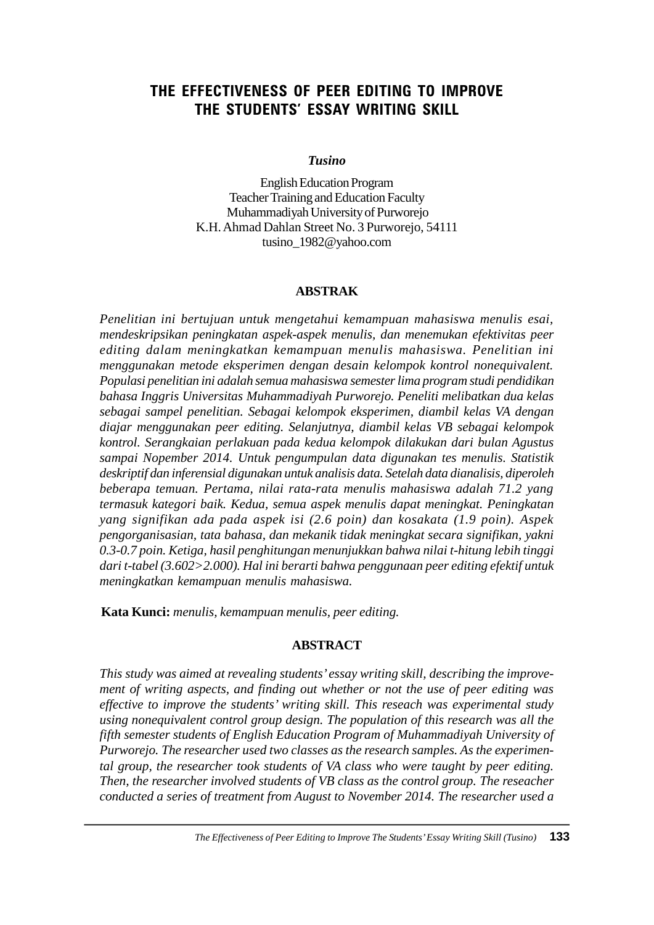# **THE EFFECTIVENESS OF PEER EDITING TO IMPROVE THE STUDENTS' ESSAY WRITING SKILL**

#### *Tusino*

English Education Program Teacher Training and Education Faculty Muhammadiyah University of Purworejo K.H. Ahmad Dahlan Street No. 3 Purworejo, 54111 tusino\_1982@yahoo.com

#### **ABSTRAK**

*Penelitian ini bertujuan untuk mengetahui kemampuan mahasiswa menulis esai, mendeskripsikan peningkatan aspek-aspek menulis, dan menemukan efektivitas peer editing dalam meningkatkan kemampuan menulis mahasiswa. Penelitian ini menggunakan metode eksperimen dengan desain kelompok kontrol nonequivalent. Populasi penelitian ini adalah semua mahasiswa semester lima program studi pendidikan bahasa Inggris Universitas Muhammadiyah Purworejo. Peneliti melibatkan dua kelas sebagai sampel penelitian. Sebagai kelompok eksperimen, diambil kelas VA dengan diajar menggunakan peer editing. Selanjutnya, diambil kelas VB sebagai kelompok kontrol. Serangkaian perlakuan pada kedua kelompok dilakukan dari bulan Agustus sampai Nopember 2014. Untuk pengumpulan data digunakan tes menulis. Statistik deskriptif dan inferensial digunakan untuk analisis data. Setelah data dianalisis, diperoleh beberapa temuan. Pertama, nilai rata-rata menulis mahasiswa adalah 71.2 yang termasuk kategori baik. Kedua, semua aspek menulis dapat meningkat. Peningkatan yang signifikan ada pada aspek isi (2.6 poin) dan kosakata (1.9 poin). Aspek pengorganisasian, tata bahasa, dan mekanik tidak meningkat secara signifikan, yakni 0.3-0.7 poin. Ketiga, hasil penghitungan menunjukkan bahwa nilai t-hitung lebih tinggi dari t-tabel (3.602>2.000). Hal ini berarti bahwa penggunaan peer editing efektif untuk meningkatkan kemampuan menulis mahasiswa.*

**Kata Kunci:** *menulis, kemampuan menulis, peer editing.*

#### **ABSTRACT**

*This study was aimed at revealing students' essay writing skill, describing the improvement of writing aspects, and finding out whether or not the use of peer editing was effective to improve the students' writing skill. This reseach was experimental study using nonequivalent control group design. The population of this research was all the fifth semester students of English Education Program of Muhammadiyah University of Purworejo. The researcher used two classes as the research samples. As the experimental group, the researcher took students of VA class who were taught by peer editing. Then, the researcher involved students of VB class as the control group. The reseacher conducted a series of treatment from August to November 2014. The researcher used a*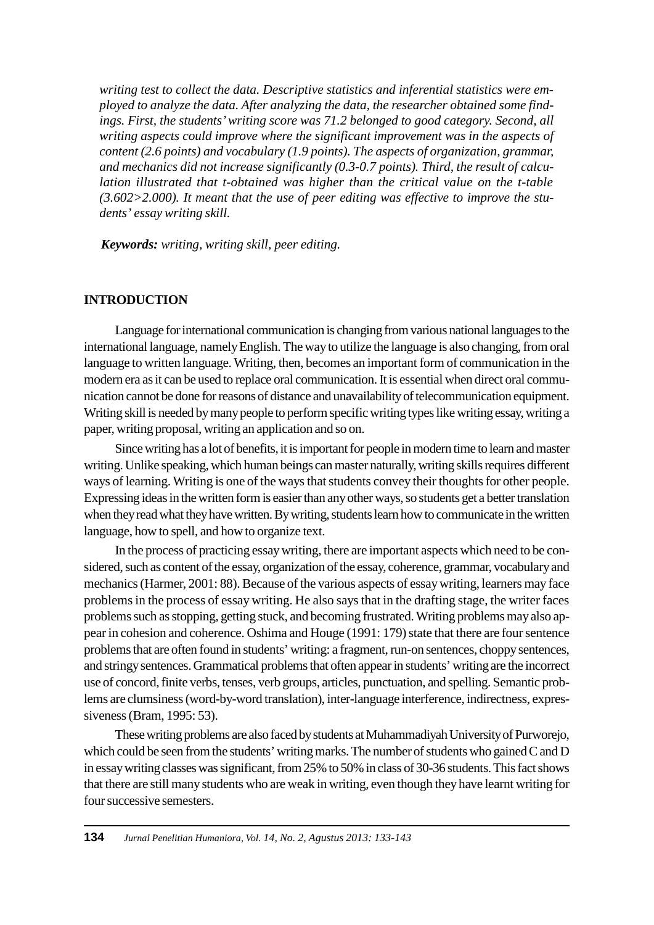*writing test to collect the data. Descriptive statistics and inferential statistics were employed to analyze the data. After analyzing the data, the researcher obtained some findings. First, the students' writing score was 71.2 belonged to good category. Second, all writing aspects could improve where the significant improvement was in the aspects of content (2.6 points) and vocabulary (1.9 points). The aspects of organization, grammar, and mechanics did not increase significantly (0.3-0.7 points). Third, the result of calculation illustrated that t-obtained was higher than the critical value on the t-table (3.602>2.000). It meant that the use of peer editing was effective to improve the students' essay writing skill.*

*Keywords: writing, writing skill, peer editing.*

### **INTRODUCTION**

Language for international communication is changing from various national languages to the international language, namely English. The way to utilize the language is also changing, from oral language to written language. Writing, then, becomes an important form of communication in the modern era as it can be used to replace oral communication. It is essential when direct oral communication cannot be done for reasons of distance and unavailability of telecommunication equipment. Writing skill is needed by many people to perform specific writing types like writing essay, writing a paper, writing proposal, writing an application and so on.

Since writing has a lot of benefits, it is important for people in modern time to learn and master writing. Unlike speaking, which human beings can master naturally, writing skills requires different ways of learning. Writing is one of the ways that students convey their thoughts for other people. Expressing ideas in the written form is easier than any other ways, so students get a better translation when they read what they have written. By writing, students learn how to communicate in the written language, how to spell, and how to organize text.

In the process of practicing essay writing, there are important aspects which need to be considered, such as content of the essay, organization of the essay, coherence, grammar, vocabulary and mechanics (Harmer, 2001: 88). Because of the various aspects of essay writing, learners may face problems in the process of essay writing. He also says that in the drafting stage, the writer faces problems such as stopping, getting stuck, and becoming frustrated. Writing problems may also appear in cohesion and coherence. Oshima and Houge (1991: 179) state that there are four sentence problems that are often found in students' writing: a fragment, run-on sentences, choppy sentences, and stringy sentences. Grammatical problems that often appear in students' writing are the incorrect use of concord, finite verbs, tenses, verb groups, articles, punctuation, and spelling. Semantic problems are clumsiness (word-by-word translation), inter-language interference, indirectness, expressiveness (Bram, 1995: 53).

These writing problems are also faced by students at Muhammadiyah University of Purworejo, which could be seen from the students' writing marks. The number of students who gained C and D in essay writing classes was significant, from 25% to 50% in class of 30-36 students. This fact shows that there are still many students who are weak in writing, even though they have learnt writing for four successive semesters.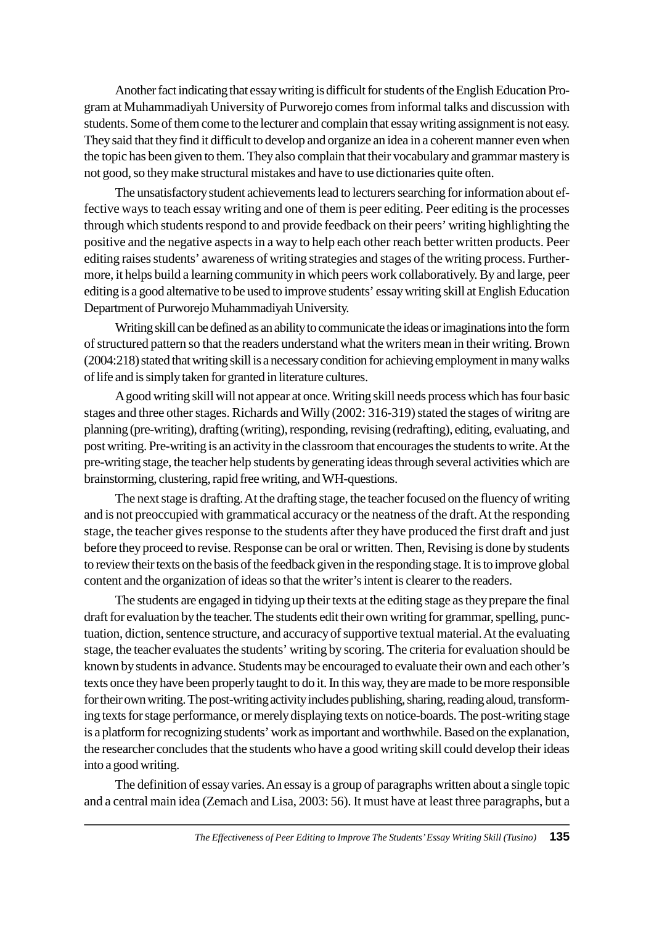Another fact indicating that essay writing is difficult for students of the English Education Program at Muhammadiyah University of Purworejo comes from informal talks and discussion with students. Some of them come to the lecturer and complain that essay writing assignment is not easy. They said that they find it difficult to develop and organize an idea in a coherent manner even when the topic has been given to them. They also complain that their vocabulary and grammar mastery is not good, so they make structural mistakes and have to use dictionaries quite often.

The unsatisfactory student achievements lead to lecturers searching for information about effective ways to teach essay writing and one of them is peer editing. Peer editing is the processes through which students respond to and provide feedback on their peers' writing highlighting the positive and the negative aspects in a way to help each other reach better written products. Peer editing raises students' awareness of writing strategies and stages of the writing process. Furthermore, it helps build a learning community in which peers work collaboratively. By and large, peer editing is a good alternative to be used to improve students' essay writing skill at English Education Department of Purworejo Muhammadiyah University.

Writing skill can be defined as an ability to communicate the ideas or imaginations into the form of structured pattern so that the readers understand what the writers mean in their writing. Brown (2004:218) stated that writing skill is a necessary condition for achieving employment in many walks of life and is simply taken for granted in literature cultures.

A good writing skill will not appear at once. Writing skill needs process which has four basic stages and three other stages. Richards and Willy (2002: 316-319) stated the stages of wiritng are planning (pre-writing), drafting (writing), responding, revising (redrafting), editing, evaluating, and post writing. Pre-writing is an activity in the classroom that encourages the students to write. At the pre-writing stage, the teacher help students by generating ideas through several activities which are brainstorming, clustering, rapid free writing, and WH-questions.

The next stage is drafting. At the drafting stage, the teacher focused on the fluency of writing and is not preoccupied with grammatical accuracy or the neatness of the draft. At the responding stage, the teacher gives response to the students after they have produced the first draft and just before they proceed to revise. Response can be oral or written. Then, Revising is done by students to review their texts on the basis of the feedback given in the responding stage. It is to improve global content and the organization of ideas so that the writer's intent is clearer to the readers.

The students are engaged in tidying up their texts at the editing stage as they prepare the final draft for evaluation by the teacher. The students edit their own writing for grammar, spelling, punctuation, diction, sentence structure, and accuracy of supportive textual material. At the evaluating stage, the teacher evaluates the students' writing by scoring. The criteria for evaluation should be known by students in advance. Students may be encouraged to evaluate their own and each other's texts once they have been properly taught to do it. In this way, they are made to be more responsible for their own writing. The post-writing activity includes publishing, sharing, reading aloud, transforming texts for stage performance, or merely displaying texts on notice-boards. The post-writing stage is a platform for recognizing students' work as important and worthwhile. Based on the explanation, the researcher concludes that the students who have a good writing skill could develop their ideas into a good writing.

The definition of essay varies. An essay is a group of paragraphs written about a single topic and a central main idea (Zemach and Lisa, 2003: 56). It must have at least three paragraphs, but a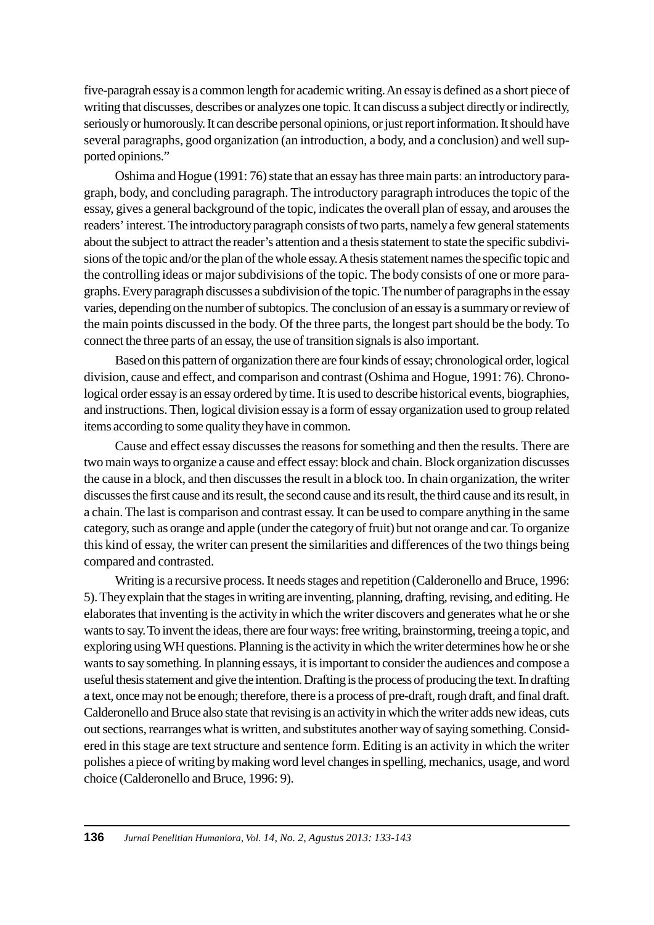five-paragrah essay is a common length for academic writing. An essay is defined as a short piece of writing that discusses, describes or analyzes one topic. It can discuss a subject directly or indirectly, seriously or humorously. It can describe personal opinions, or just report information. It should have several paragraphs, good organization (an introduction, a body, and a conclusion) and well supported opinions."

Oshima and Hogue (1991: 76) state that an essay has three main parts: an introductory paragraph, body, and concluding paragraph. The introductory paragraph introduces the topic of the essay, gives a general background of the topic, indicates the overall plan of essay, and arouses the readers' interest. The introductory paragraph consists of two parts, namely a few general statements about the subject to attract the reader's attention and a thesis statement to state the specific subdivisions of the topic and/or the plan of the whole essay. A thesis statement names the specific topic and the controlling ideas or major subdivisions of the topic. The body consists of one or more paragraphs. Every paragraph discusses a subdivision of the topic. The number of paragraphs in the essay varies, depending on the number of subtopics. The conclusion of an essay is a summary or review of the main points discussed in the body. Of the three parts, the longest part should be the body. To connect the three parts of an essay, the use of transition signals is also important.

Based on this pattern of organization there are four kinds of essay; chronological order, logical division, cause and effect, and comparison and contrast (Oshima and Hogue, 1991: 76). Chronological order essay is an essay ordered by time. It is used to describe historical events, biographies, and instructions. Then, logical division essay is a form of essay organization used to group related items according to some quality they have in common.

Cause and effect essay discusses the reasons for something and then the results. There are two main ways to organize a cause and effect essay: block and chain. Block organization discusses the cause in a block, and then discusses the result in a block too. In chain organization, the writer discusses the first cause and its result, the second cause and its result, the third cause and its result, in a chain. The last is comparison and contrast essay. It can be used to compare anything in the same category, such as orange and apple (under the category of fruit) but not orange and car. To organize this kind of essay, the writer can present the similarities and differences of the two things being compared and contrasted.

Writing is a recursive process. It needs stages and repetition (Calderonello and Bruce, 1996: 5). They explain that the stages in writing are inventing, planning, drafting, revising, and editing. He elaborates that inventing is the activity in which the writer discovers and generates what he or she wants to say. To invent the ideas, there are four ways: free writing, brainstorming, treeing a topic, and exploring using WH questions. Planning is the activity in which the writer determines how he or she wants to say something. In planning essays, it is important to consider the audiences and compose a useful thesis statement and give the intention. Drafting is the process of producing the text. In drafting a text, once may not be enough; therefore, there is a process of pre-draft, rough draft, and final draft. Calderonello and Bruce also state that revising is an activity in which the writer adds new ideas, cuts out sections, rearranges what is written, and substitutes another way of saying something. Considered in this stage are text structure and sentence form. Editing is an activity in which the writer polishes a piece of writing by making word level changes in spelling, mechanics, usage, and word choice (Calderonello and Bruce, 1996: 9).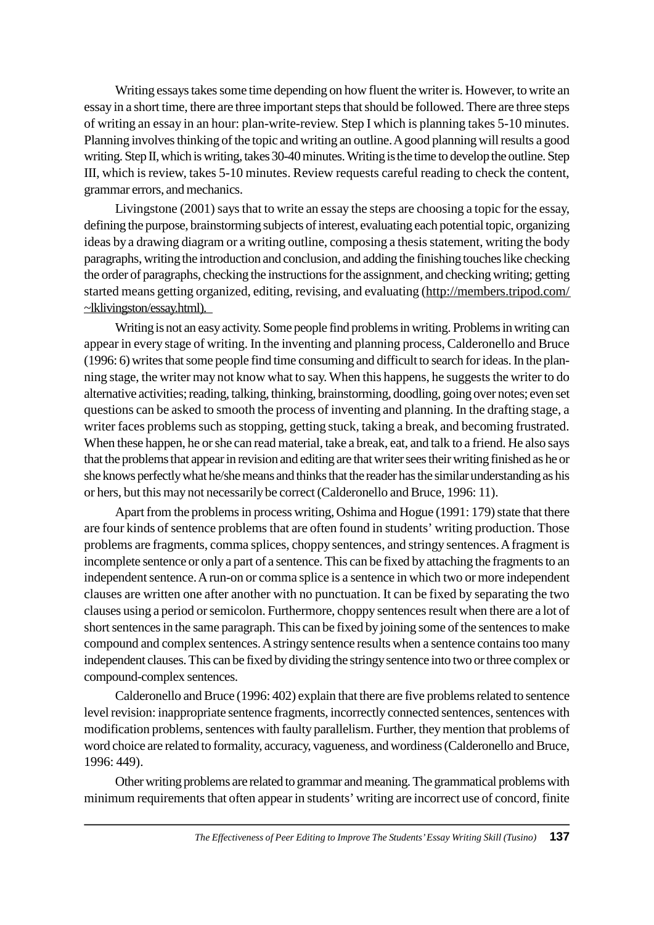Writing essays takes some time depending on how fluent the writer is. However, to write an essay in a short time, there are three important steps that should be followed. There are three steps of writing an essay in an hour: plan-write-review. Step I which is planning takes 5-10 minutes. Planning involves thinking of the topic and writing an outline. A good planning will results a good writing. Step II, which is writing, takes 30-40 minutes. Writing is the time to develop the outline. Step III, which is review, takes 5-10 minutes. Review requests careful reading to check the content, grammar errors, and mechanics.

Livingstone (2001) says that to write an essay the steps are choosing a topic for the essay, defining the purpose, brainstorming subjects of interest, evaluating each potential topic, organizing ideas by a drawing diagram or a writing outline, composing a thesis statement, writing the body paragraphs, writing the introduction and conclusion, and adding the finishing touches like checking the order of paragraphs, checking the instructions for the assignment, and checking writing; getting started means getting organized, editing, revising, and evaluating (http://members.tripod.com/ ~lklivingston/essay.html).

Writing is not an easy activity. Some people find problems in writing. Problems in writing can appear in every stage of writing. In the inventing and planning process, Calderonello and Bruce (1996: 6) writes that some people find time consuming and difficult to search for ideas. In the planning stage, the writer may not know what to say. When this happens, he suggests the writer to do alternative activities; reading, talking, thinking, brainstorming, doodling, going over notes; even set questions can be asked to smooth the process of inventing and planning. In the drafting stage, a writer faces problems such as stopping, getting stuck, taking a break, and becoming frustrated. When these happen, he or she can read material, take a break, eat, and talk to a friend. He also says that the problems that appear in revision and editing are that writer sees their writing finished as he or she knows perfectly what he/she means and thinks that the reader has the similar understanding as his or hers, but this may not necessarily be correct (Calderonello and Bruce, 1996: 11).

Apart from the problems in process writing, Oshima and Hogue (1991: 179) state that there are four kinds of sentence problems that are often found in students' writing production. Those problems are fragments, comma splices, choppy sentences, and stringy sentences. A fragment is incomplete sentence or only a part of a sentence. This can be fixed by attaching the fragments to an independent sentence. A run-on or comma splice is a sentence in which two or more independent clauses are written one after another with no punctuation. It can be fixed by separating the two clauses using a period or semicolon. Furthermore, choppy sentences result when there are a lot of short sentences in the same paragraph. This can be fixed by joining some of the sentences to make compound and complex sentences. A stringy sentence results when a sentence contains too many independent clauses. This can be fixed by dividing the stringy sentence into two or three complex or compound-complex sentences.

Calderonello and Bruce (1996: 402) explain that there are five problems related to sentence level revision: inappropriate sentence fragments, incorrectly connected sentences, sentences with modification problems, sentences with faulty parallelism. Further, they mention that problems of word choice are related to formality, accuracy, vagueness, and wordiness (Calderonello and Bruce, 1996: 449).

Other writing problems are related to grammar and meaning. The grammatical problems with minimum requirements that often appear in students' writing are incorrect use of concord, finite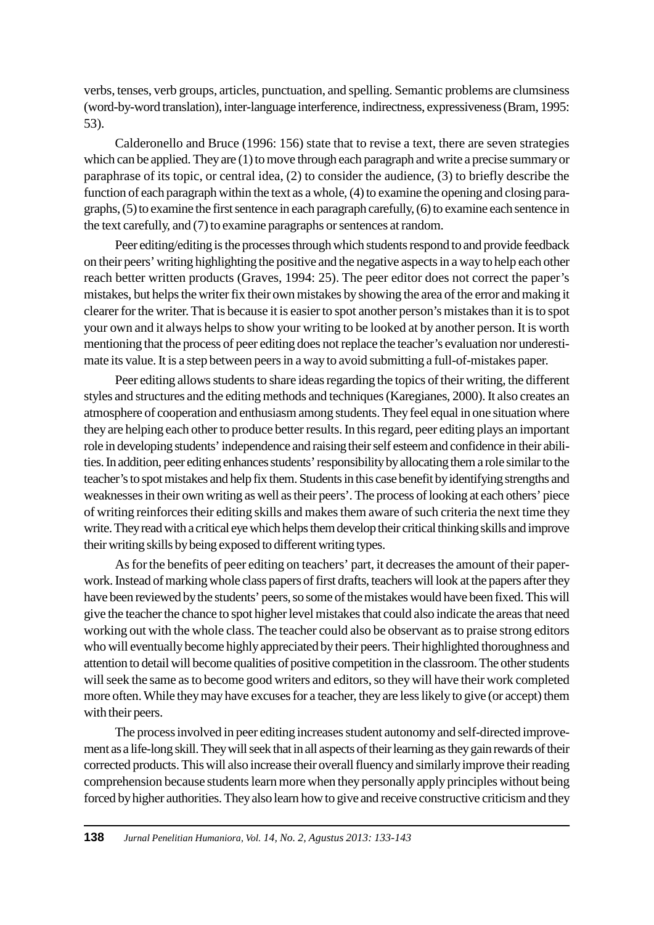verbs, tenses, verb groups, articles, punctuation, and spelling. Semantic problems are clumsiness (word-by-word translation), inter-language interference, indirectness, expressiveness (Bram, 1995: 53).

Calderonello and Bruce (1996: 156) state that to revise a text, there are seven strategies which can be applied. They are (1) to move through each paragraph and write a precise summary or paraphrase of its topic, or central idea, (2) to consider the audience, (3) to briefly describe the function of each paragraph within the text as a whole, (4) to examine the opening and closing paragraphs, (5) to examine the first sentence in each paragraph carefully, (6) to examine each sentence in the text carefully, and (7) to examine paragraphs or sentences at random.

Peer editing/editing is the processes through which students respond to and provide feedback on their peers' writing highlighting the positive and the negative aspects in a way to help each other reach better written products (Graves, 1994: 25). The peer editor does not correct the paper's mistakes, but helps the writer fix their own mistakes by showing the area of the error and making it clearer for the writer. That is because it is easier to spot another person's mistakes than it is to spot your own and it always helps to show your writing to be looked at by another person. It is worth mentioning that the process of peer editing does not replace the teacher's evaluation nor underestimate its value. It is a step between peers in a way to avoid submitting a full-of-mistakes paper.

Peer editing allows students to share ideas regarding the topics of their writing, the different styles and structures and the editing methods and techniques (Karegianes, 2000). It also creates an atmosphere of cooperation and enthusiasm among students. They feel equal in one situation where they are helping each other to produce better results. In this regard, peer editing plays an important role in developing students' independence and raising their self esteem and confidence in their abilities. In addition, peer editing enhances students' responsibility by allocating them a role similar to the teacher's to spot mistakes and help fix them. Students in this case benefit by identifying strengths and weaknesses in their own writing as well as their peers'. The process of looking at each others' piece of writing reinforces their editing skills and makes them aware of such criteria the next time they write. They read with a critical eye which helps them develop their critical thinking skills and improve their writing skills by being exposed to different writing types.

As for the benefits of peer editing on teachers' part, it decreases the amount of their paperwork. Instead of marking whole class papers of first drafts, teachers will look at the papers after they have been reviewed by the students' peers, so some of the mistakes would have been fixed. This will give the teacher the chance to spot higher level mistakes that could also indicate the areas that need working out with the whole class. The teacher could also be observant as to praise strong editors who will eventually become highly appreciated by their peers. Their highlighted thoroughness and attention to detail will become qualities of positive competition in the classroom. The other students will seek the same as to become good writers and editors, so they will have their work completed more often. While they may have excuses for a teacher, they are less likely to give (or accept) them with their peers.

The process involved in peer editing increases student autonomy and self-directed improvement as a life-long skill. They will seek that in all aspects of their learning as they gain rewards of their corrected products. This will also increase their overall fluency and similarly improve their reading comprehension because students learn more when they personally apply principles without being forced by higher authorities. They also learn how to give and receive constructive criticism and they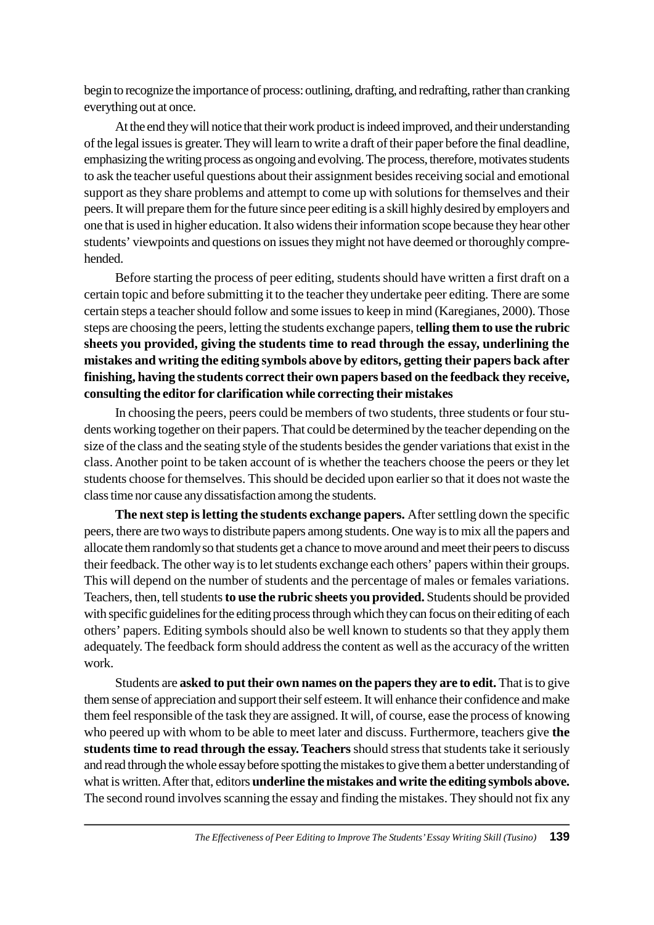begin to recognize the importance of process: outlining, drafting, and redrafting, rather than cranking everything out at once.

At the end they will notice that their work product is indeed improved, and their understanding of the legal issues is greater. They will learn to write a draft of their paper before the final deadline, emphasizing the writing process as ongoing and evolving. The process, therefore, motivates students to ask the teacher useful questions about their assignment besides receiving social and emotional support as they share problems and attempt to come up with solutions for themselves and their peers. It will prepare them for the future since peer editing is a skill highly desired by employers and one that is used in higher education. It also widens their information scope because they hear other students' viewpoints and questions on issues they might not have deemed or thoroughly comprehended.

Before starting the process of peer editing, students should have written a first draft on a certain topic and before submitting it to the teacher they undertake peer editing. There are some certain steps a teacher should follow and some issues to keep in mind (Karegianes, 2000). Those steps are choosing the peers, letting the students exchange papers, t**elling them to use the rubric sheets you provided, giving the students time to read through the essay, underlining the mistakes and writing the editing symbols above by editors, getting their papers back after finishing, having the students correct their own papers based on the feedback they receive, consulting the editor for clarification while correcting their mistakes**

In choosing the peers, peers could be members of two students, three students or four students working together on their papers. That could be determined by the teacher depending on the size of the class and the seating style of the students besides the gender variations that exist in the class. Another point to be taken account of is whether the teachers choose the peers or they let students choose for themselves. This should be decided upon earlier so that it does not waste the class time nor cause any dissatisfaction among the students.

**The next step is letting the students exchange papers.** After settling down the specific peers, there are two ways to distribute papers among students. One way is to mix all the papers and allocate them randomly so that students get a chance to move around and meet their peers to discuss their feedback. The other way is to let students exchange each others' papers within their groups. This will depend on the number of students and the percentage of males or females variations. Teachers, then, tell students**to use the rubric sheets you provided.** Students should be provided with specific guidelines for the editing process through which they can focus on their editing of each others' papers. Editing symbols should also be well known to students so that they apply them adequately. The feedback form should address the content as well as the accuracy of the written work.

Students are **asked to put their own names on the papers they are to edit.** That is to give them sense of appreciation and support their self esteem. It will enhance their confidence and make them feel responsible of the task they are assigned. It will, of course, ease the process of knowing who peered up with whom to be able to meet later and discuss. Furthermore, teachers give **the students time to read through the essay. Teachers**should stress that students take it seriously and read through the whole essay before spotting the mistakes to give them a better understanding of what is written. After that, editors **underline the mistakes and write the editing symbols above.** The second round involves scanning the essay and finding the mistakes. They should not fix any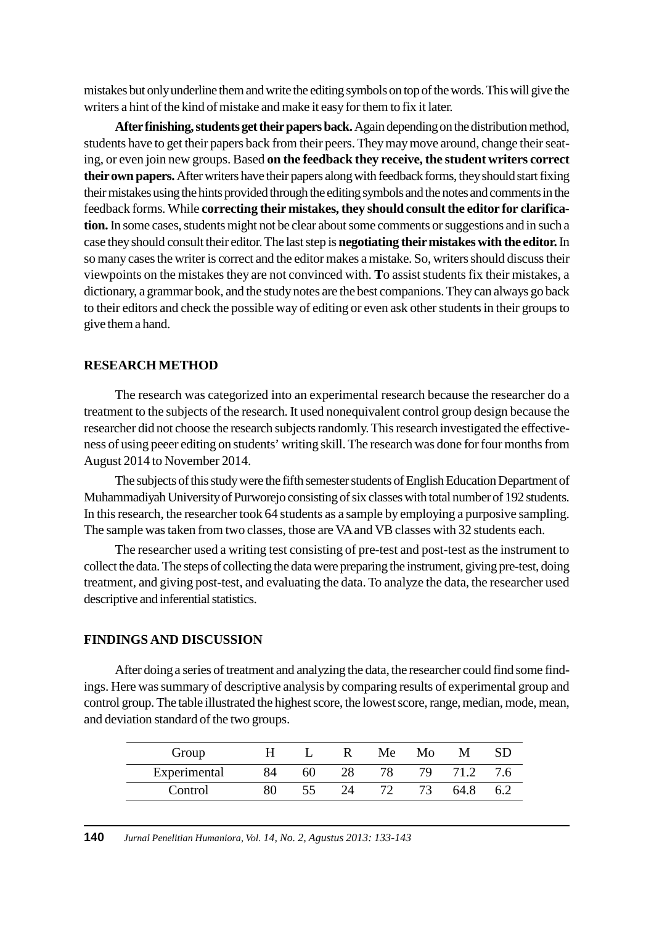mistakes but only underline them and write the editing symbols on top of the words. This will give the writers a hint of the kind of mistake and make it easy for them to fix it later.

**After finishing, students get their papers back.**Again depending on the distribution method, students have to get their papers back from their peers. They may move around, change their seating, or even join new groups. Based **on the feedback they receive, the student writers correct their own papers.**After writers have their papers along with feedback forms, they should start fixing their mistakes using the hints provided through the editing symbols and the notes and comments in the feedback forms. While **correcting their mistakes, they should consult the editor for clarification.**In some cases, students might not be clear about some comments or suggestions and in such a case they should consult their editor. The last step is **negotiating their mistakes with the editor.**In so many cases the writer is correct and the editor makes a mistake. So, writers should discuss their viewpoints on the mistakes they are not convinced with. **T**o assist students fix their mistakes, a dictionary, a grammar book, and the study notes are the best companions. They can always go back to their editors and check the possible way of editing or even ask other students in their groups to give them a hand.

### **RESEARCH METHOD**

The research was categorized into an experimental research because the researcher do a treatment to the subjects of the research. It used nonequivalent control group design because the researcher did not choose the research subjects randomly. This research investigated the effectiveness of using peeer editing on students' writing skill. The research was done for four months from August 2014 to November 2014.

The subjects of this study were the fifth semester students of English Education Department of Muhammadiyah University of Purworejo consisting of six classes with total number of 192 students. In this research, the researcher took 64 students as a sample by employing a purposive sampling. The sample was taken from two classes, those are VA and VB classes with 32 students each.

The researcher used a writing test consisting of pre-test and post-test as the instrument to collect the data. The steps of collecting the data were preparing the instrument, giving pre-test, doing treatment, and giving post-test, and evaluating the data. To analyze the data, the researcher used descriptive and inferential statistics.

### **FINDINGS AND DISCUSSION**

After doing a series of treatment and analyzing the data, the researcher could find some findings. Here was summary of descriptive analysis by comparing results of experimental group and control group. The table illustrated the highest score, the lowest score, range, median, mode, mean, and deviation standard of the two groups.

| Group        | н. |    | R  | Me | Mo  | M    | <b>SD</b> |
|--------------|----|----|----|----|-----|------|-----------|
| Experimental | 84 | 60 | 28 | 78 | 79. |      | 76        |
| Control      | 80 |    | 24 |    | 73  | 64.8 | 6.2       |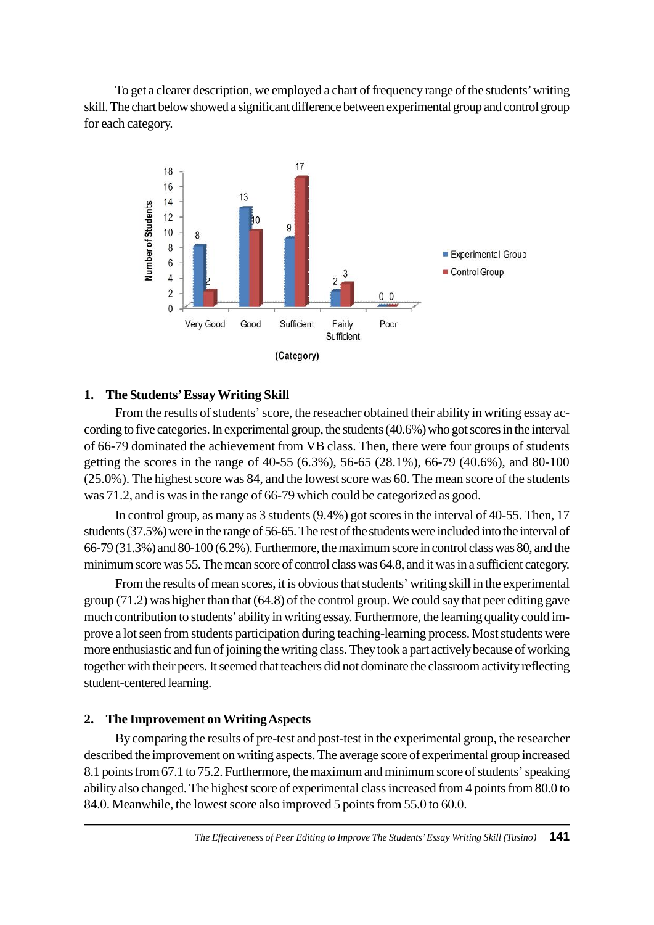To get a clearer description, we employed a chart of frequency range of the students' writing skill. The chart below showed a significant difference between experimental group and control group for each category.



### **1. The Students' Essay Writing Skill**

From the results of students' score, the reseacher obtained their ability in writing essay according to five categories. In experimental group, the students (40.6%) who got scores in the interval of 66-79 dominated the achievement from VB class. Then, there were four groups of students getting the scores in the range of 40-55 (6.3%), 56-65 (28.1%), 66-79 (40.6%), and 80-100 (25.0%). The highest score was 84, and the lowest score was 60. The mean score of the students was 71.2, and is was in the range of 66-79 which could be categorized as good.

In control group, as many as 3 students (9.4%) got scores in the interval of 40-55. Then, 17 students (37.5%) were in the range of 56-65. The rest of the students were included into the interval of 66-79 (31.3%) and 80-100 (6.2%). Furthermore, the maximum score in control class was 80, and the minimum score was 55. The mean score of control class was 64.8, and it was in a sufficient category.

From the results of mean scores, it is obvious that students' writing skill in the experimental group (71.2) was higher than that (64.8) of the control group. We could say that peer editing gave much contribution to students' ability in writing essay. Furthermore, the learning quality could improve a lot seen from students participation during teaching-learning process. Most students were more enthusiastic and fun of joining the writing class. They took a part actively because of working together with their peers. It seemed that teachers did not dominate the classroom activity reflecting student-centered learning.

### **2. The Improvement on Writing Aspects**

By comparing the results of pre-test and post-test in the experimental group, the researcher described the improvement on writing aspects. The average score of experimental group increased 8.1 points from 67.1 to 75.2. Furthermore, the maximum and minimum score of students' speaking ability also changed. The highest score of experimental class increased from 4 points from 80.0 to 84.0. Meanwhile, the lowest score also improved 5 points from 55.0 to 60.0.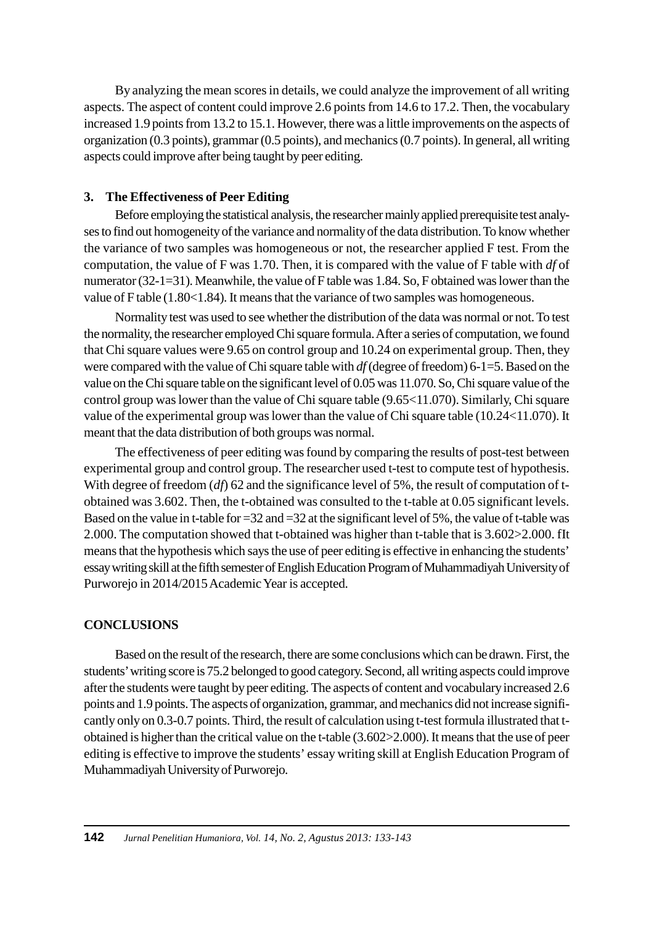By analyzing the mean scores in details, we could analyze the improvement of all writing aspects. The aspect of content could improve 2.6 points from 14.6 to 17.2. Then, the vocabulary increased 1.9 points from 13.2 to 15.1. However, there was a little improvements on the aspects of organization (0.3 points), grammar (0.5 points), and mechanics (0.7 points). In general, all writing aspects could improve after being taught by peer editing.

# **3. The Effectiveness of Peer Editing**

Before employing the statistical analysis, the researcher mainly applied prerequisite test analyses to find out homogeneity of the variance and normality of the data distribution. To know whether the variance of two samples was homogeneous or not, the researcher applied F test. From the computation, the value of F was 1.70. Then, it is compared with the value of F table with *df* of numerator (32-1=31). Meanwhile, the value of F table was 1.84. So, F obtained was lower than the value of F table (1.80<1.84). It means that the variance of two samples was homogeneous.

Normality test was used to see whether the distribution of the data was normal or not. To test the normality, the researcher employed Chi square formula. After a series of computation, we found that Chi square values were 9.65 on control group and 10.24 on experimental group. Then, they were compared with the value of Chi square table with *df*(degree of freedom) 6-1=5. Based on the value on the Chi square table on the significant level of 0.05 was 11.070. So, Chi square value of the control group was lower than the value of Chi square table (9.65<11.070). Similarly, Chi square value of the experimental group was lower than the value of Chi square table (10.24<11.070). It meant that the data distribution of both groups was normal.

The effectiveness of peer editing was found by comparing the results of post-test between experimental group and control group. The researcher used t-test to compute test of hypothesis. With degree of freedom (*df*) 62 and the significance level of 5%, the result of computation of tobtained was 3.602. Then, the t-obtained was consulted to the t-table at 0.05 significant levels. Based on the value in t-table for =32 and =32 at the significant level of 5%, the value of t-table was 2.000. The computation showed that t-obtained was higher than t-table that is 3.602>2.000. fIt means that the hypothesis which says the use of peer editing is effective in enhancing the students' essay writing skill at the fifth semester of English Education Program of Muhammadiyah University of Purworejo in 2014/2015 Academic Year is accepted.

## **CONCLUSIONS**

Based on the result of the research, there are some conclusions which can be drawn. First, the students' writing score is 75.2 belonged to good category. Second, all writing aspects could improve after the students were taught by peer editing. The aspects of content and vocabulary increased 2.6 points and 1.9 points. The aspects of organization, grammar, and mechanics did not increase significantly only on 0.3-0.7 points. Third, the result of calculation using t-test formula illustrated that tobtained is higher than the critical value on the t-table (3.602>2.000). It means that the use of peer editing is effective to improve the students' essay writing skill at English Education Program of Muhammadiyah University of Purworejo.